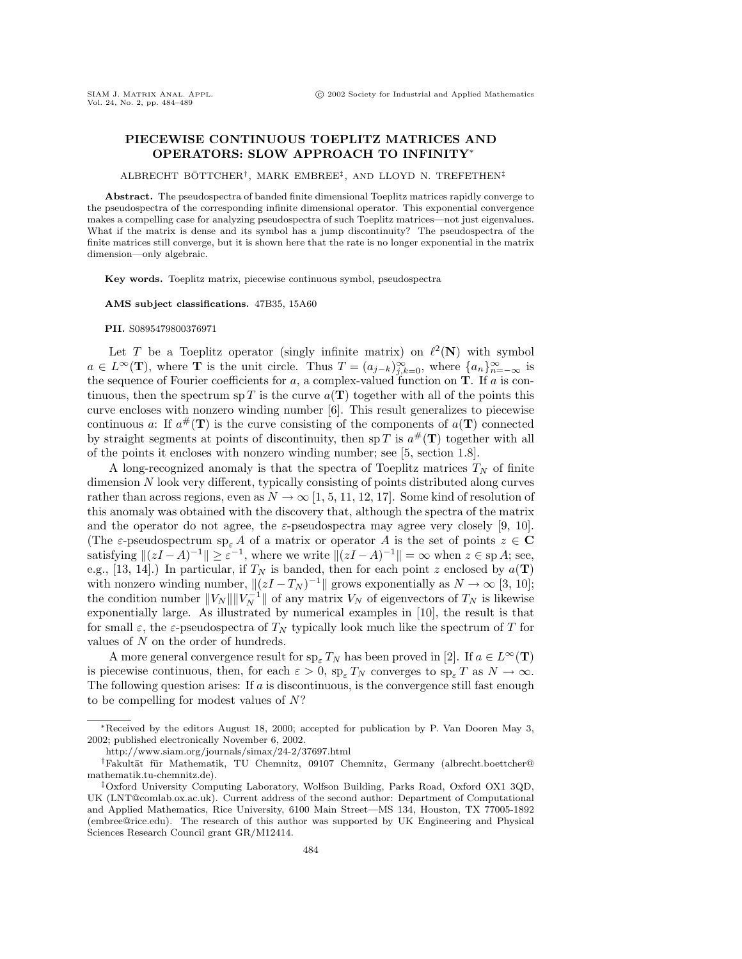## **PIECEWISE CONTINUOUS TOEPLITZ MATRICES AND OPERATORS: SLOW APPROACH TO INFINITY**<sup>∗</sup>

ALBRECHT BÖTTCHER<sup>†</sup>, MARK EMBREE<sup>‡</sup>, AND LLOYD N. TREFETHEN<sup>‡</sup>

**Abstract.** The pseudospectra of banded finite dimensional Toeplitz matrices rapidly converge to the pseudospectra of the corresponding infinite dimensional operator. This exponential convergence makes a compelling case for analyzing pseudospectra of such Toeplitz matrices—not just eigenvalues. What if the matrix is dense and its symbol has a jump discontinuity? The pseudospectra of the finite matrices still converge, but it is shown here that the rate is no longer exponential in the matrix dimension—only algebraic.

**Key words.** Toeplitz matrix, piecewise continuous symbol, pseudospectra

**AMS subject classifications.** 47B35, 15A60

## **PII.** S0895479800376971

Let T be a Toeplitz operator (singly infinite matrix) on  $\ell^2(\mathbf{N})$  with symbol  $a \in L^{\infty}(\mathbf{T})$ , where **T** is the unit circle. Thus  $T = (a_{j-k})_{j,k=0}^{\infty}$ , where  $\{a_n\}_{n=-\infty}^{\infty}$  is the sequence of Fourier coefficients for a, a complex-valued function on **T**. If a is continuous, then the spectrum sp T is the curve  $a(T)$  together with all of the points this curve encloses with nonzero winding number [6]. This result generalizes to piecewise continuous a: If  $a^{\#}(T)$  is the curve consisting of the components of  $a(T)$  connected by straight segments at points of discontinuity, then sp T is  $a^{\#}(\mathbf{T})$  together with all of the points it encloses with nonzero winding number; see [5, section 1.8].

A long-recognized anomaly is that the spectra of Toeplitz matrices  $T_N$  of finite dimension N look very different, typically consisting of points distributed along curves rather than across regions, even as  $N \to \infty$  [1, 5, 11, 12, 17]. Some kind of resolution of this anomaly was obtained with the discovery that, although the spectra of the matrix and the operator do not agree, the  $\varepsilon$ -pseudospectra may agree very closely [9, 10]. (The  $\varepsilon$ -pseudospectrum sp<sub> $\varepsilon$ </sub> A of a matrix or operator A is the set of points  $z \in \mathbb{C}$ satisfying  $||(zI - A)^{-1}|| \ge \varepsilon^{-1}$ , where we write  $||(zI - A)^{-1}|| = \infty$  when  $z \in \text{sp } A$ ; see, e.g., [13, 14].) In particular, if  $T_N$  is banded, then for each point z enclosed by  $a(\mathbf{T})$ with nonzero winding number,  $||(zI - T_N)^{-1}||$  grows exponentially as  $N \to \infty$  [3, 10]; the condition number  $||V_N|| ||V_N^{-1}||$  of any matrix  $V_N$  of eigenvectors of  $T_N$  is likewise exponentially large. As illustrated by numerical examples in [10], the result is that for small  $\varepsilon$ , the  $\varepsilon$ -pseudospectra of  $T_N$  typically look much like the spectrum of T for values of N on the order of hundreds.

A more general convergence result for  $sp_{\varepsilon} T_N$  has been proved in [2]. If  $a \in L^{\infty}(\mathbf{T})$ is piecewise continuous, then, for each  $\varepsilon > 0$ ,  $sp_{\varepsilon} T_N$  converges to  $sp_{\varepsilon} T$  as  $N \to \infty$ . The following question arises: If  $a$  is discontinuous, is the convergence still fast enough to be compelling for modest values of N?

<sup>∗</sup>Received by the editors August 18, 2000; accepted for publicationby P. VanDoorenMay 3, 2002; published electronically November 6, 2002.

http://www.siam.org/journals/simax/24-2/37697.html

<sup>&</sup>lt;sup>†</sup>Fakultät für Mathematik, TU Chemnitz, 09107 Chemnitz, Germany (albrecht.boettcher@ mathematik.tu-chemnitz.de).

<sup>‡</sup>Oxford University Computing Laboratory, Wolfson Building, Parks Road, Oxford OX1 3QD, UK (LNT@comlab.ox.ac.uk). Current address of the second author: Department of Computational and Applied Mathematics, Rice University, 6100 Main Street—MS 134, Houston, TX 77005-1892 (embree@rice.edu). The research of this author was supported by UK Engineering and Physical Sciences Research Council grant GR/M12414.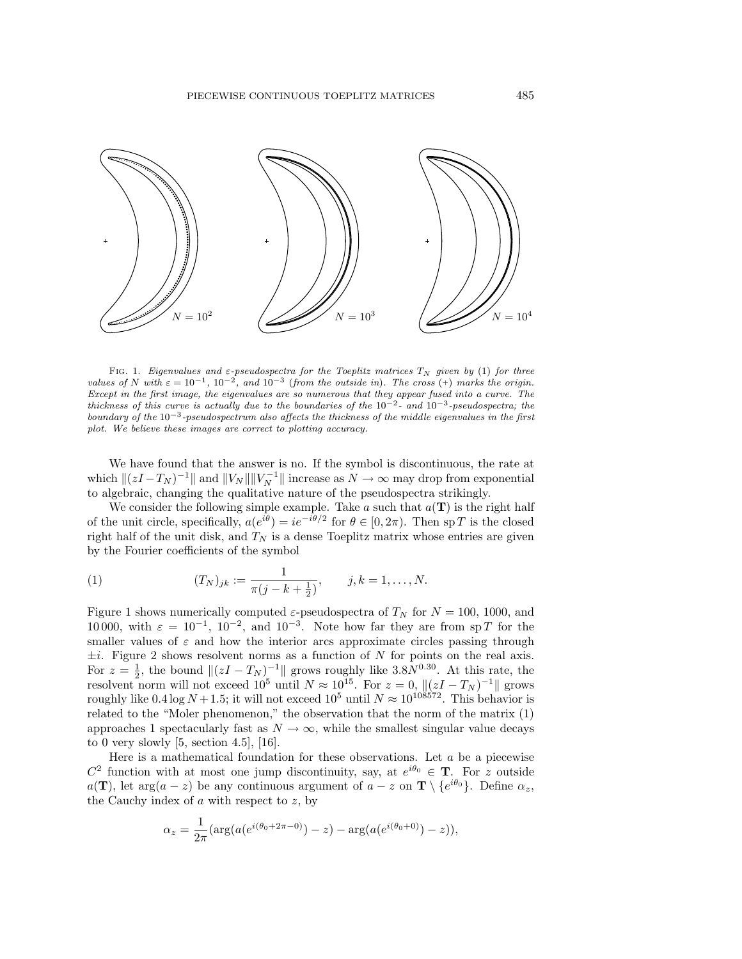

FIG. 1. Eigenvalues and  $\varepsilon$ -pseudospectra for the Toeplitz matrices  $T_N$  given by (1) for three values of N with  $\varepsilon = 10^{-1}$ ,  $10^{-2}$ , and  $10^{-3}$  (from the outside in). The cross (+) marks the origin. Except in the first image, the eigenvalues are so numerous that they appear fused into a curve. The thickness of this curve is actually due to the boundaries of the  $10^{-2}$ - and  $10^{-3}$ -pseudospectra; the boundary of the  $10^{-3}$ -pseudospectrum also affects the thickness of the middle eigenvalues in the first plot. We believe these images are correct to plotting accuracy.

We have found that the answer is no. If the symbol is discontinuous, the rate at which  $\|(zI-T_N)^{-1}\|$  and  $||V_N|| ||V_N^{-1}||$  increase as  $N \to \infty$  may drop from exponential to algebraic, changing the qualitative nature of the pseudospectra strikingly.

We consider the following simple example. Take  $a$  such that  $a(\mathbf{T})$  is the right half of the unit circle, specifically,  $a(e^{i\theta}) = ie^{-i\theta/2}$  for  $\theta \in [0, 2\pi)$ . Then sp T is the closed right half of the unit disk, and  $T_N$  is a dense Toeplitz matrix whose entries are given by the Fourier coefficients of the symbol

(1) 
$$
(T_N)_{jk} := \frac{1}{\pi (j - k + \frac{1}{2})}, \qquad j, k = 1, ..., N.
$$

Figure 1 shows numerically computed  $\varepsilon$ -pseudospectra of  $T_N$  for  $N = 100$ , 1000, and 10 000, with  $\varepsilon = 10^{-1}$ ,  $10^{-2}$ , and  $10^{-3}$ . Note how far they are from sp T for the smaller values of  $\varepsilon$  and how the interior arcs approximate circles passing through  $\pm i$ . Figure 2 shows resolvent norms as a function of N for points on the real axis. For  $z = \frac{1}{2}$ , the bound  $\|(zI - T_N)^{-1}\|$  grows roughly like 3.8 $N^{0.30}$ . At this rate, the resolvent norm will not exceed  $10^5$  until  $N \approx 10^{15}$ . For  $z = 0$ ,  $\|(zI - T_N)^{-1}\|$  grows roughly like 0.4 log  $N + 1.5$ ; it will not exceed  $10^5$  until  $N \approx 10^{108572}$ . This behavior is related to the "Moler phenomenon," the observation that the norm of the matrix (1) approaches 1 spectacularly fast as  $N \to \infty$ , while the smallest singular value decays to 0 very slowly  $[5, \text{ section } 4.5], [16].$ 

Here is a mathematical foundation for these observations. Let  $a$  be a piecewise  $C^2$  function with at most one jump discontinuity, say, at  $e^{i\theta_0} \in \mathbf{T}$ . For z outside  $a(\mathbf{T})$ , let arg $(a-z)$  be any continuous argument of  $a-z$  on  $\mathbf{T} \setminus \{e^{i\theta_0}\}\$ . Define  $\alpha_z$ , the Cauchy index of  $a$  with respect to  $z$ , by

$$
\alpha_z = \frac{1}{2\pi} (\arg(a(e^{i(\theta_0 + 2\pi - 0)}) - z) - \arg(a(e^{i(\theta_0 + 0)}) - z)),
$$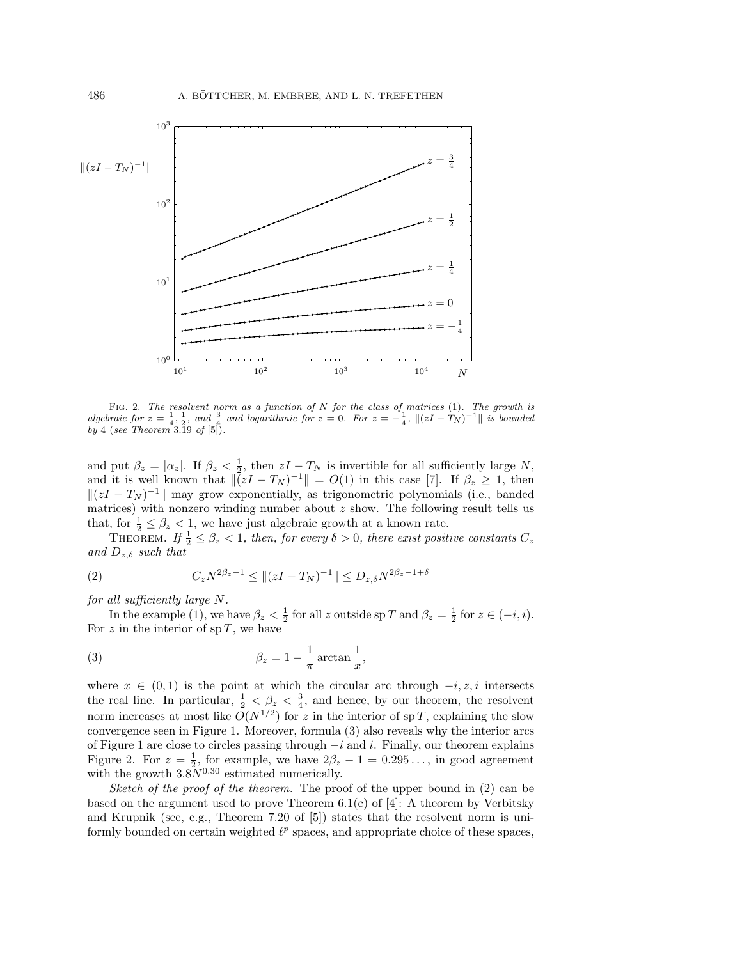

FIG. 2. The resolvent norm as a function of  $N$  for the class of matrices (1). The growth is algebraic for  $z = \frac{1}{4}, \frac{1}{2}$ , and  $\frac{3}{4}$  and logarithmic for  $z = 0$ . For  $z = -\frac{1}{4}$ ,  $\|(zI - T_N)^{-1}\|$  is bounded by 4 (see Theorem 3.19 of  $[5]$ ).

and put  $\beta_z = |\alpha_z|$ . If  $\beta_z < \frac{1}{2}$ , then  $zI - T_N$  is invertible for all sufficiently large N, and it is well known that  $\|\bar{z}I - T_N\| = O(1)$  in this case [7]. If  $\beta_z \geq 1$ , then  $\|(zI - T_N)^{-1}\|$  may grow exponentially, as trigonometric polynomials (i.e., banded matrices) with nonzero winding number about  $z$  show. The following result tells us that, for  $\frac{1}{2} \leq \beta_z < 1$ , we have just algebraic growth at a known rate.

THEOREM. If  $\frac{1}{2} \leq \beta_z < 1$ , then, for every  $\delta > 0$ , there exist positive constants  $C_z$ and  $D_{z,\delta}$  such that

(2) 
$$
C_z N^{2\beta_z - 1} \leq ||(zI - T_N)^{-1}|| \leq D_{z,\delta} N^{2\beta_z - 1 + \delta}
$$

for all sufficiently large N.

In the example (1), we have  $\beta_z < \frac{1}{2}$  for all z outside sp T and  $\beta_z = \frac{1}{2}$  for  $z \in (-i, i)$ . For z in the interior of  $sp T$ , we have

(3) 
$$
\beta_z = 1 - \frac{1}{\pi} \arctan \frac{1}{x},
$$

where  $x \in (0,1)$  is the point at which the circular arc through  $-i, z, i$  intersects the real line. In particular,  $\frac{1}{2} < \beta_z < \frac{3}{4}$ , and hence, by our theorem, the resolvent norm increases at most like  $O(N^{1/2})$  for z in the interior of sp T, explaining the slow convergence seen in Figure 1. Moreover, formula (3) also reveals why the interior arcs of Figure 1 are close to circles passing through  $-i$  and i. Finally, our theorem explains Figure 2. For  $z = \frac{1}{2}$ , for example, we have  $2\beta_z - 1 = 0.295...$ , in good agreement with the growth  $3.8N^{0.30}$  estimated numerically.

Sketch of the proof of the theorem. The proof of the upper bound in (2) can be based on the argument used to prove Theorem 6.1(c) of [4]: A theorem by Verbitsky and Krupnik (see, e.g., Theorem 7.20 of [5]) states that the resolvent norm is uniformly bounded on certain weighted  $\ell^p$  spaces, and appropriate choice of these spaces,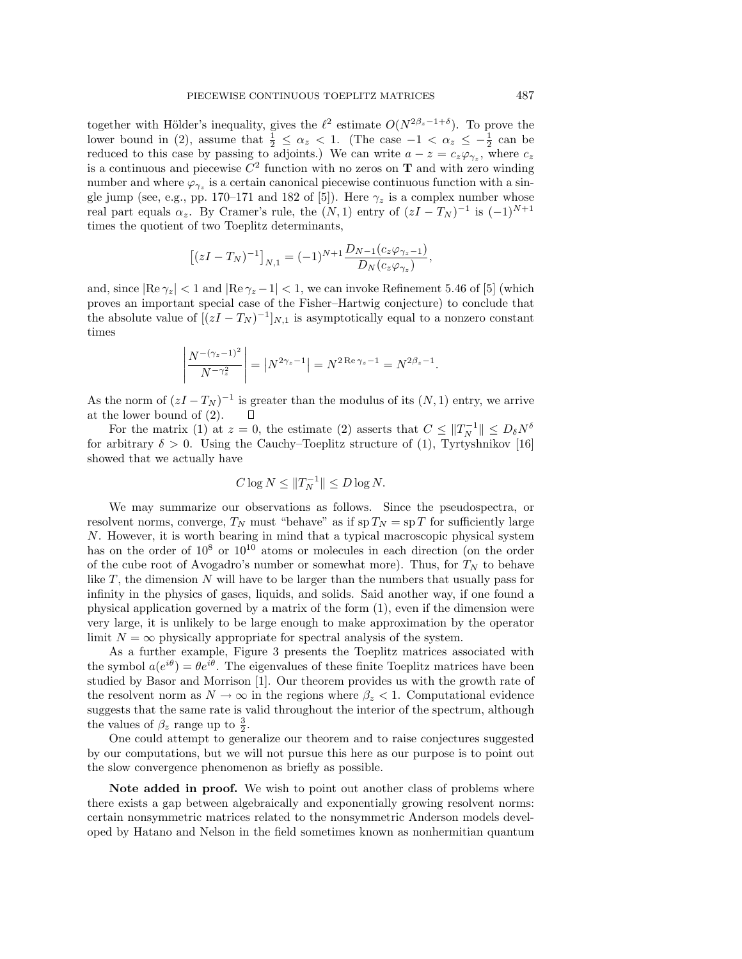together with Hölder's inequality, gives the  $\ell^2$  estimate  $O(N^{2\beta_z-1+\delta})$ . To prove the lower bound in (2), assume that  $\frac{1}{2} \leq \alpha_z < 1$ . (The case  $-1 < \alpha_z \leq -\frac{1}{2}$  can be reduced to this case by passing to adjoints.) We can write  $a - z = c_z \varphi_{\gamma_z}$ , where  $c_z$ is a continuous and piecewise  $C^2$  function with no zeros on **T** and with zero winding number and where  $\varphi_{\gamma_z}$  is a certain canonical piecewise continuous function with a single jump (see, e.g., pp. 170–171 and 182 of [5]). Here  $\gamma_z$  is a complex number whose real part equals  $\alpha_z$ . By Cramer's rule, the  $(N,1)$  entry of  $(zI-T_N)^{-1}$  is  $(-1)^{N+1}$ times the quotient of two Toeplitz determinants,

$$
[(zI - T_N)^{-1}]_{N,1} = (-1)^{N+1} \frac{D_{N-1}(c_z \varphi_{\gamma_z - 1})}{D_N(c_z \varphi_{\gamma_z})},
$$

and, since  $\left|\text{Re }\gamma_z\right| < 1$  and  $\left|\text{Re }\gamma_z - 1\right| < 1$ , we can invoke Refinement 5.46 of [5] (which proves an important special case of the Fisher–Hartwig conjecture) to conclude that the absolute value of  $[(zI - T_N)^{-1}]_{N,1}$  is asymptotically equal to a nonzero constant times

$$
\left| \frac{N^{-(\gamma_z - 1)^2}}{N^{-\gamma_z^2}} \right| = \left| N^{2\gamma_z - 1} \right| = N^{2 \operatorname{Re} \gamma_z - 1} = N^{2\beta_z - 1}.
$$

As the norm of  $(zI - T_N)^{-1}$  is greater than the modulus of its  $(N, 1)$  entry, we arrive at the lower bound of (2). Π

For the matrix (1) at  $z = 0$ , the estimate (2) asserts that  $C \leq ||T_N^{-1}|| \leq D_\delta N^\delta$ for arbitrary  $\delta > 0$ . Using the Cauchy–Toeplitz structure of (1), Tyrtyshnikov [16] showed that we actually have

$$
C\log N \leq ||T_N^{-1}|| \leq D\log N.
$$

We may summarize our observations as follows. Since the pseudospectra, or resolvent norms, converge,  $T_N$  must "behave" as if sp  $T_N =$  sp T for sufficiently large N. However, it is worth bearing in mind that a typical macroscopic physical system has on the order of  $10^8$  or  $10^{10}$  atoms or molecules in each direction (on the order of the cube root of Avogadro's number or somewhat more). Thus, for  $T_N$  to behave like  $T$ , the dimension  $N$  will have to be larger than the numbers that usually pass for infinity in the physics of gases, liquids, and solids. Said another way, if one found a physical application governed by a matrix of the form (1), even if the dimension were very large, it is unlikely to be large enough to make approximation by the operator limit  $N = \infty$  physically appropriate for spectral analysis of the system.

As a further example, Figure 3 presents the Toeplitz matrices associated with the symbol  $a(e^{i\theta}) = \theta e^{i\theta}$ . The eigenvalues of these finite Toeplitz matrices have been studied by Basor and Morrison [1]. Our theorem provides us with the growth rate of the resolvent norm as  $N \to \infty$  in the regions where  $\beta_z < 1$ . Computational evidence suggests that the same rate is valid throughout the interior of the spectrum, although the values of  $\beta_z$  range up to  $\frac{3}{2}$ .

One could attempt to generalize our theorem and to raise conjectures suggested by our computations, but we will not pursue this here as our purpose is to point out the slow convergence phenomenon as briefly as possible.

**Note added in proof.** We wish to point out another class of problems where there exists a gap between algebraically and exponentially growing resolvent norms: certain nonsymmetric matrices related to the nonsymmetric Anderson models developed by Hatano and Nelson in the field sometimes known as nonhermitian quantum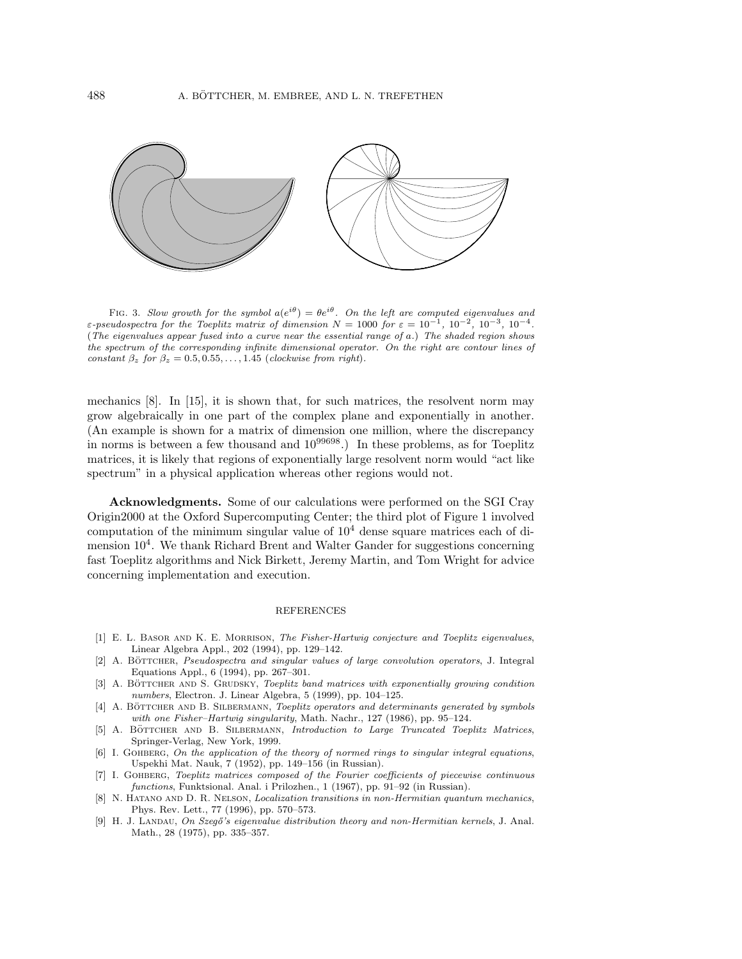

FIG. 3. Slow growth for the symbol  $a(e^{i\theta}) = \theta e^{i\theta}$ . On the left are computed eigenvalues and ε-pseudospectra for the Toeplitz matrix of dimension  $N = 1000$  for  $\varepsilon = 10^{-1}$ ,  $10^{-2}$ ,  $10^{-3}$ ,  $10^{-4}$ . (The eigenvalues appear fused into a curve near the essential range of a.) The shaded region shows the spectrum of the corresponding infinite dimensional operator. On the right are contour lines of constant  $\beta_z$  for  $\beta_z = 0.5, 0.55, \ldots, 1.45$  (clockwise from right).

mechanics [8]. In [15], it is shown that, for such matrices, the resolvent norm may grow algebraically in one part of the complex plane and exponentially in another. (An example is shown for a matrix of dimension one million, where the discrepancy in norms is between a few thousand and  $10^{99698}$ . In these problems, as for Toeplitz matrices, it is likely that regions of exponentially large resolvent norm would "act like spectrum" in a physical application whereas other regions would not.

**Acknowledgments.** Some of our calculations were performed on the SGI Cray Origin2000 at the Oxford Supercomputing Center; the third plot of Figure 1 involved computation of the minimum singular value of  $10<sup>4</sup>$  dense square matrices each of dimension  $10^4$ . We thank Richard Brent and Walter Gander for suggestions concerning fast Toeplitz algorithms and Nick Birkett, Jeremy Martin, and Tom Wright for advice concerning implementation and execution.

## REFERENCES

- [1] E. L. BASOR AND K. E. MORRISON, The Fisher-Hartwig conjecture and Toeplitz eigenvalues, Linear Algebra Appl., 202 (1994), pp. 129–142.
- [2] A. BÖTTCHER, Pseudospectra and singular values of large convolution operators, J. Integral Equations Appl., 6 (1994), pp. 267–301.
- [3] A. BÖTTCHER AND S. GRUDSKY, Toeplitz band matrices with exponentially growing condition numbers, Electron. J. Linear Algebra, 5 (1999), pp. 104–125.
- [4] A. BÖTTCHER AND B. SILBERMANN, Toeplitz operators and determinants generated by symbols with one Fisher–Hartwig singularity, Math. Nachr., 127 (1986), pp. 95–124.
- [5] A. BÖTTCHER AND B. SILBERMANN, Introduction to Large Truncated Toeplitz Matrices, Springer-Verlag, New York, 1999.
- [6] I. GOHBERG, On the application of the theory of normed rings to singular integral equations, Uspekhi Mat. Nauk, 7 (1952), pp. 149-156 (in Russian).
- [7] I. Gohberg, Toeplitz matrices composed of the Fourier coefficients of piecewise continuous functions, Funktsional. Anal. i Prilozhen., 1 (1967), pp. 91–92 (in Russian).
- [8] N. Hatano and D. R. Nelson, Localization transitions in non-Hermitian quantum mechanics, Phys. Rev. Lett., 77 (1996), pp. 570–573.
- [9] H. J. LANDAU, On Szegő's eigenvalue distribution theory and non-Hermitian kernels, J. Anal. Math., 28 (1975), pp. 335–357.